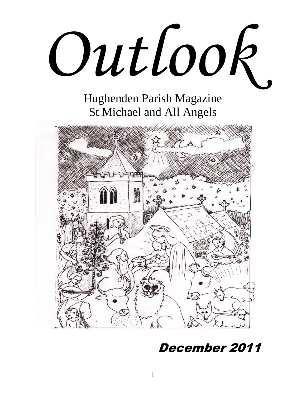

Hughenden Parish Magazine St Michael and All Angels



# December 2011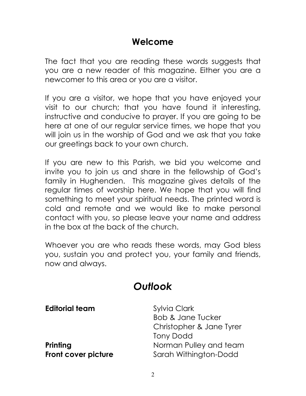# **Welcome**

The fact that you are reading these words suggests that you are a new reader of this magazine. Either you are a newcomer to this area or you are a visitor.

If you are a visitor, we hope that you have enjoyed your visit to our church; that you have found it interesting, instructive and conducive to prayer. If you are going to be here at one of our regular service times, we hope that you will join us in the worship of God and we ask that you take our greetings back to your own church.

If you are new to this Parish, we bid you welcome and invite you to join us and share in the fellowship of God"s family in Hughenden. This magazine gives details of the regular times of worship here. We hope that you will find something to meet your spiritual needs. The printed word is cold and remote and we would like to make personal contact with you, so please leave your name and address in the box at the back of the church.

Whoever you are who reads these words, may God bless you, sustain you and protect you, your family and friends, now and always.

# *Outlook*

**Editorial team** Sylvia Clark

Bob & Jane Tucker Christopher & Jane Tyrer Tony Dodd **Printing Printing** Norman Pulley and team **Front cover picture** Sarah Withington-Dodd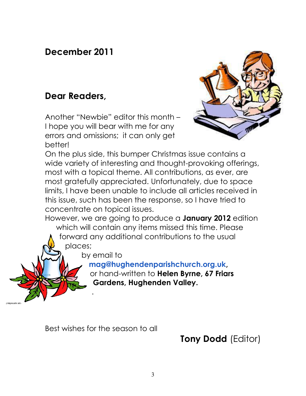# **December 2011**

# **Dear Readers,**

Another "Newbie" editor this month – I hope you will bear with me for any errors and omissions; it can only get better!



On the plus side, this bumper Christmas issue contains a wide variety of interesting and thought-provoking offerings, most with a topical theme. All contributions, as ever, are most gratefully appreciated. Unfortunately, due to space limits, I have been unable to include all articles received in this issue, such has been the response, so I have tried to concentrate on topical issues.

However, we are going to produce a **January 2012** edition which will contain any items missed this time. Please

forward any additional contributions to the usual places;

by email to

.

**[mag@hughendenparishchurch.org.uk,](mailto:mag@hughendenparishchurch.org.uk)**

or hand-written to **Helen Byrne, 67 Friars Gardens, Hughenden Valley.**

Best wishes for the season to all

**Tony Dodd** (Editor)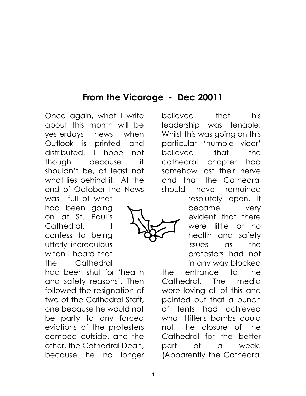# **From the Vicarage - Dec 20011**

Once again, what I write about this month will be yesterdays news when Outlook is printed and distributed. I hope not though because it shouldn"t be, at least not what lies behind it. At the end of October the News

was full of what had been going on at St. Paul"s Cathedral. I confess to being utterly incredulous when I heard that the Cathedral

had been shut for "health and safety reasons". Then followed the resignation of two of the Cathedral Staff, one because he would not be party to any forced evictions of the protesters camped outside, and the other, the Cathedral Dean, because he no longer

believed that his leadership was tenable. Whilst this was going on this particular "humble vicar" believed that the cathedral chapter had somehow lost their nerve and that the Cathedral should have remained

> resolutely open. It became very evident that there were little or no health and safety issues as the protesters had not in any way blocked

the entrance to the Cathedral. The media were loving all of this and pointed out that a bunch of tents had achieved what Hitler's bombs could not; the closure of the Cathedral for the better part of a week. (Apparently the Cathedral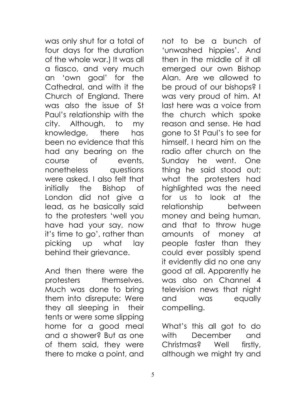was only shut for a total of four days for the duration of the whole war.) It was all a fiasco, and very much an "own goal" for the Cathedral, and with it the Church of England. There was also the issue of St Paul"s relationship with the city. Although, to my knowledge, there has been no evidence that this had any bearing on the course of events, nonetheless questions were asked. I also felt that initially the Bishop of London did not give a lead, as he basically said to the protesters "well you have had your say, now it"s time to go", rather than picking up what lay behind their grievance.

And then there were the protesters themselves. Much was done to bring them into disrepute: Were they all sleeping in their tents or were some slipping home for a good meal and a shower? But as one of them said, they were there to make a point, and

not to be a bunch of "unwashed hippies". And then in the middle of it all emerged our own Bishop Alan. Are we allowed to be proud of our bishops? I was very proud of him. At last here was a voice from the church which spoke reason and sense. He had gone to St Paul"s to see for himself. I heard him on the radio after church on the Sunday he went. One thing he said stood out; what the protesters had highlighted was the need for us to look at the relationship between money and being human, and that to throw huge amounts of money at people faster than they could ever possibly spend it evidently did no one any good at all. Apparently he was also on Channel 4 television news that night and was equally compelling.

What"s this all got to do with December and Christmas? Well firstly, although we might try and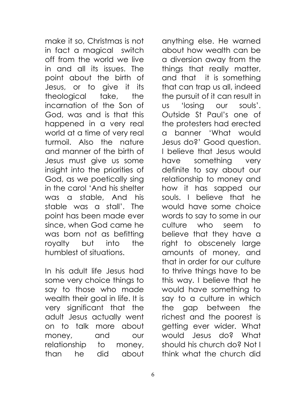make it so, Christmas is not in fact a magical switch off from the world we live in and all its issues. The point about the birth of Jesus, or to give it its theological take, the incarnation of the Son of God, was and is that this happened in a very real world at a time of very real turmoil. Also the nature and manner of the birth of Jesus must give us some insight into the priorities of God, as we poetically sing in the carol "And his shelter was a stable, And his stable was a stall". The point has been made ever since, when God came he was born not as befitting royalty but into the humblest of situations.

In his adult life Jesus had some very choice things to say to those who made wealth their goal in life. It is very significant that the adult Jesus actually went on to talk more about money, and our relationship to money, than he did about

anything else. He warned about how wealth can be a diversion away from the things that really matter, and that it is something that can trap us all, indeed the pursuit of it can result in us "losing our souls". Outside St Paul"s one of the protesters had erected a banner "What would Jesus do?" Good question. I believe that Jesus would have something very definite to say about our relationship to money and how it has sapped our souls. I believe that he would have some choice words to say to some in our culture who seem to believe that they have a right to obscenely large amounts of money, and that in order for our culture to thrive things have to be this way. I believe that he would have something to say to a culture in which the gap between the richest and the poorest is getting ever wider. What would Jesus do? What should his church do? Not I think what the church did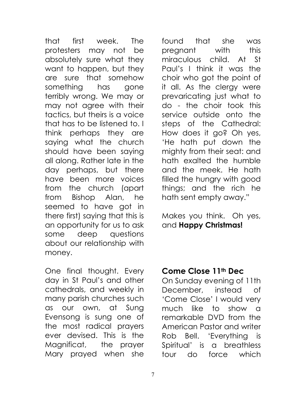that first week. The protesters may not be absolutely sure what they want to happen, but they are sure that somehow something has gone terribly wrong. We may or may not agree with their tactics, but theirs is a voice that has to be listened to. I think perhaps they are saying what the church should have been saying all along. Rather late in the day perhaps, but there have been more voices from the church (apart from Bishop Alan, he seemed to have got in there first) saying that this is an opportunity for us to ask some deep questions about our relationship with money.

One final thought. Every day in St Paul"s and other cathedrals, and weekly in many parish churches such as our own, at Sung Evensong is sung one of the most radical prayers ever devised. This is the Magnificat, the prayer Mary prayed when she

found that she was pregnant with this miraculous child. At St Paul"s I think it was the choir who got the point of it all. As the clergy were prevaricating just what to do - the choir took this service outside onto the steps of the Cathedral: How does it go? Oh yes, "He hath put down the mighty from their seat: and hath exalted the humble and the meek. He hath filled the hungry with good things; and the rich he hath sent empty away."

Makes you think. Oh yes, and **Happy Christmas!**

# **Come Close 11th Dec**

On Sunday evening of 11th December, instead of 'Come Close' I would very much like to show a remarkable DVD from the American Pastor and writer Rob Bell. "Everything is Spiritual" is a breathless tour do force which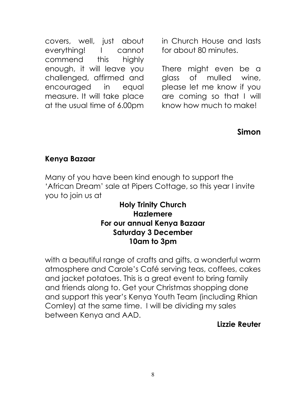covers, well, just about everything! I cannot commend this highly enough, it will leave you challenged, affirmed and encouraged in equal measure. It will take place at the usual time of 6.00pm

in Church House and lasts for about 80 minutes.

There might even be a glass of mulled wine, please let me know if you are coming so that I will know how much to make!

#### **Simon**

#### **Kenya Bazaar**

Many of you have been kind enough to support the "African Dream" sale at Pipers Cottage, so this year I invite you to join us at

#### **Holy Trinity Church Hazlemere For our annual Kenya Bazaar Saturday 3 December 10am to 3pm**

with a beautiful range of crafts and gifts, a wonderful warm atmosphere and Carole"s Café serving teas, coffees, cakes and jacket potatoes. This is a great event to bring family and friends along to. Get your Christmas shopping done and support this year"s Kenya Youth Team (including Rhian Comley) at the same time. I will be dividing my sales between Kenya and AAD.

#### **Lizzie Reuter**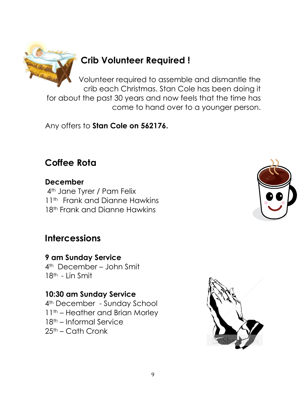

# **Crib Volunteer Required !**

Volunteer required to assemble and dismantle the crib each Christmas. Stan Cole has been doing it for about the past 30 years and now feels that the time has come to hand over to a younger person.

Any offers to **Stan Cole on 562176.**

# **Coffee Rota**

**December** 4<sup>th</sup> Jane Tyrer / Pam Felix 11<sup>th</sup> Frank and Dianne Hawkins 18<sup>th</sup> Frank and Dianne Hawkins

# **Intercessions**

**9 am Sunday Service** 4th December – John Smit 18th - Lin Smit

# **10:30 am Sunday Service**

4<sup>th</sup> December - Sunday School 11th – Heather and Brian Morley 18th – Informal Service  $25<sup>th</sup>$  – Cath Cronk



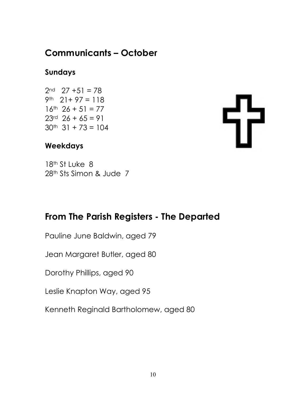# **Communicants – October**

## **Sundays**

 $2<sup>nd</sup>$  27 +51 = 78 9th  $21+97=118$  $16^{th}$  26 + 51 = 77  $23rd$   $26 + 65 = 91$  $30<sup>th</sup>$  31 + 73 = 104

### **Weekdays**

18<sup>th</sup> St Luke 8 28th Sts Simon & Jude 7

# **From The Parish Registers - The Departed**

Pauline June Baldwin, aged 79

Jean Margaret Butler, aged 80

Dorothy Phillips, aged 90

Leslie Knapton Way, aged 95

Kenneth Reginald Bartholomew, aged 80

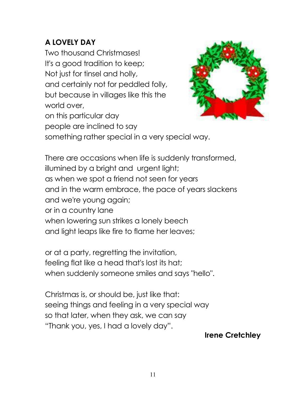# **A LOVELY DAY**

Two thousand Christmases! It's a good tradition to keep; Not just for tinsel and holly, and certainly not for peddled folly, but because in villages like this the world over, on this particular day people are inclined to say



something rather special in a very special way.

There are occasions when life is suddenly transformed, illumined by a bright and urgent light; as when we spot a friend not seen for years and in the warm embrace, the pace of years slackens and we're young again; or in a country lane when lowering sun strikes a lonely beech and light leaps like fire to flame her leaves;

or at a party, regretting the invitation, feeling flat like a head that's lost its hat; when suddenly someone smiles and says "hello".

Christmas is, or should be, just like that: seeing things and feeling in a very special way so that later, when they ask, we can say "Thank you, yes, I had a lovely day".

#### **Irene Cretchley**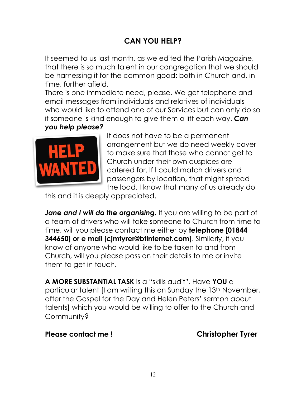## **CAN YOU HELP?**

It seemed to us last month, as we edited the Parish Magazine, that there is so much talent in our congregation that we should be harnessing it for the common good: both in Church and, in time, further afield.

There is one immediate need, please. We get telephone and email messages from individuals and relatives of individuals who would like to attend one of our Services but can only do so if someone is kind enough to give them a lift each way. *Can you help please?*



It does not have to be a permanent arrangement but we do need weekly cover to make sure that those who cannot get to Church under their own auspices are catered for. If I could match drivers and passengers by location, that might spread the load. I know that many of us already do

this and it is deeply appreciated.

Jane and I will do the organising. If you are willing to be part of a team of drivers who will take someone to Church from time to time, will you please contact me either by **telephone [01844 344650] or e mail [cjmtyrer@btinternet.com**]. Similarly, if you know of anyone who would like to be taken to and from Church, will you please pass on their details to me or invite them to get in touch.

**A MORE SUBSTANTIAL TASK** is a "skills audit". Have **YOU** a particular talent [I am writing this on Sunday the 13th November, after the Gospel for the Day and Helen Peters" sermon about talents] which you would be willing to offer to the Church and Community?

**Please contact me ! Christopher Tyrer**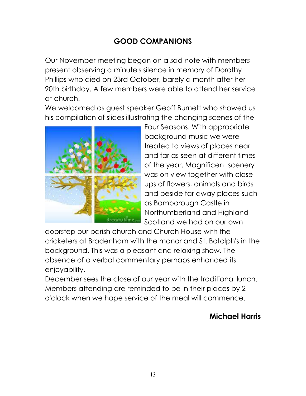## **GOOD COMPANIONS**

Our November meeting began on a sad note with members present observing a minute's silence in memory of Dorothy Phillips who died on 23rd October, barely a month after her 90th birthday. A few members were able to attend her service at church.

We welcomed as guest speaker Geoff Burnett who showed us his compilation of slides illustrating the changing scenes of the



Four Seasons. With appropriate background music we were treated to views of places near and far as seen at different times of the year. Magnificent scenery was on view together with close ups of flowers, animals and birds and beside far away places such as Bamborough Castle in Northumberland and Highland Scotland we had on our own

doorstep our parish church and Church House with the cricketers at Bradenham with the manor and St. Botolph's in the background. This was a pleasant and relaxing show. The absence of a verbal commentary perhaps enhanced its enjoyability.

December sees the close of our year with the traditional lunch. Members attending are reminded to be in their places by 2 o'clock when we hope service of the meal will commence.

### **Michael Harris**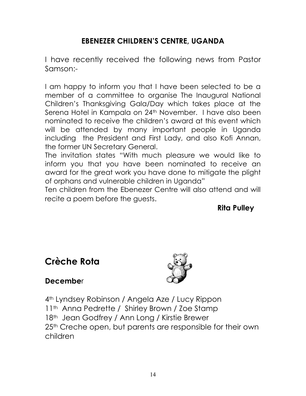### **EBENEZER CHILDREN'S CENTRE, UGANDA**

I have recently received the following news from Pastor Samson:-

I am happy to inform you that I have been selected to be a member of a committee to organise The Inaugural National Children"s Thanksgiving Gala/Day which takes place at the Serena Hotel in Kampala on 24<sup>th</sup> November. I have also been nominated to receive the children"s award at this event which will be attended by many important people in Uganda including the President and First Lady, and also Kofi Annan, the former UN Secretary General.

The invitation states "With much pleasure we would like to inform you that you have been nominated to receive an award for the great work you have done to mitigate the plight of orphans and vulnerable children in Uganda"

Ten children from the Ebenezer Centre will also attend and will recite a poem before the guests.

**Rita Pulley**

# **Crèche Rota**



#### **Decembe**r

4th Lyndsey Robinson / Angela Aze / Lucy Rippon 11<sup>th</sup> Anna Pedrette / Shirley Brown / Zoe Stamp 18<sup>th</sup> Jean Godfrey / Ann Long / Kirstie Brewer 25<sup>th</sup> Creche open, but parents are responsible for their own children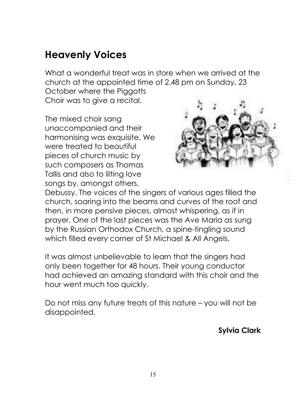# **Heavenly Voices**

What a wonderful treat was in store when we arrived at the church at the appointed time of 2.48 pm on Sunday, 23 October where the Piggotts Choir was to give a recital.

The mixed choir sang unaccompanied and their harmonising was exquisite. We were treated to beautiful pieces of church music by such composers as Thomas Tallis and also to lilting love songs by, amongst others,



Debussy. The voices of the singers of various ages filled the church, soaring into the beams and curves of the roof and then, in more pensive pieces, almost whispering, as if in prayer. One of the last pieces was the Ave Maria as sung by the Russian Orthodox Church, a spine-tingling sound which filled every corner of St Michael & All Angels.

It was almost unbelievable to learn that the singers had only been together for 48 hours. Their young conductor had achieved an amazing standard with this choir and the hour went much too quickly.

Do not miss any future treats of this nature – you will not be disappointed.

**Sylvia Clark**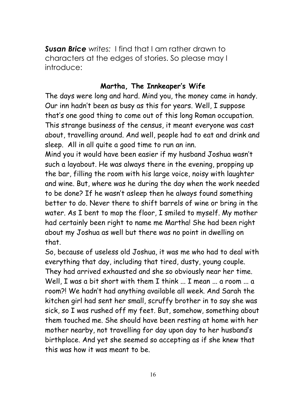*Susan Brice writes:* I find that I am rather drawn to characters at the edges of stories. So please may I introduce:

#### **Martha, The Innkeaper's Wife**

The days were long and hard. Mind you, the money came in handy. Our inn hadn't been as busy as this for years. Well, I suppose that's one good thing to come out of this long Roman occupation. This strange business of the census, it meant everyone was cast about, travelling around. And well, people had to eat and drink and sleep. All in all quite a good time to run an inn.

Mind you it would have been easier if my husband Joshua wasn't such a layabout. He was always there in the evening, propping up the bar, filling the room with his large voice, noisy with laughter and wine. But, where was he during the day when the work needed to be done? If he wasn't asleep then he always found something better to do. Never there to shift barrels of wine or bring in the water. As I bent to mop the floor, I smiled to myself. My mother had certainly been right to name me Martha! She had been right about my Joshua as well but there was no point in dwelling on that.

So, because of useless old Joshua, it was me who had to deal with everything that day, including that tired, dusty, young couple. They had arrived exhausted and she so obviously near her time. Well. I was a bit short with them I think ... I mean ... a room ... a room?! We hadn't had anything available all week. And Sarah the kitchen girl had sent her small, scruffy brother in to say she was sick, so I was rushed off my feet. But, somehow, something about them touched me. She should have been resting at home with her mother nearby, not travelling for day upon day to her husband's birthplace. And yet she seemed so accepting as if she knew that this was how it was meant to be.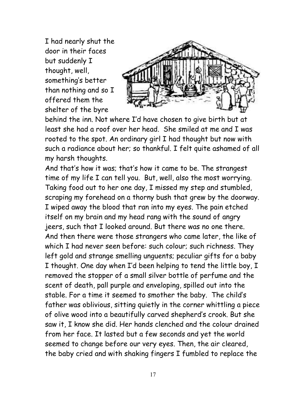I had nearly shut the door in their faces but suddenly I thought, well, something's better than nothing and so I offered them the shelter of the byre



behind the inn. Not where I'd have chosen to give birth but at least she had a roof over her head. She smiled at me and I was rooted to the spot. An ordinary girl I had thought but now with such a radiance about her; so thankful. I felt quite ashamed of all my harsh thoughts.

And that's how it was; that's how it came to be. The strangest time of my life I can tell you. But, well, also the most worrying. Taking food out to her one day, I missed my step and stumbled, scraping my forehead on a thorny bush that grew by the doorway. I wiped away the blood that ran into my eyes. The pain etched itself on my brain and my head rang with the sound of angry jeers, such that I looked around. But there was no one there. And then there were those strangers who came later, the like of which I had never seen before: such colour; such richness. They left gold and strange smelling unguents; peculiar gifts for a baby I thought. One day when I'd been helping to tend the little boy, I removed the stopper of a small silver bottle of perfume and the scent of death, pall purple and enveloping, spilled out into the stable. For a time it seemed to smother the baby. The child's father was oblivious, sitting quietly in the corner whittling a piece of olive wood into a beautifully carved shepherd's crook. But she saw it, I know she did. Her hands clenched and the colour drained from her face. It lasted but a few seconds and yet the world seemed to change before our very eyes. Then, the air cleared, the baby cried and with shaking fingers I fumbled to replace the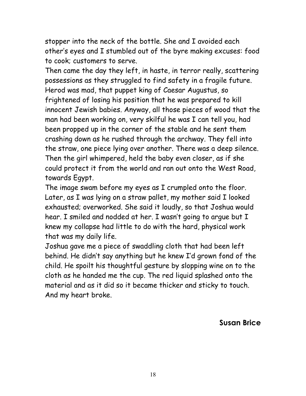stopper into the neck of the bottle. She and I avoided each other's eyes and I stumbled out of the byre making excuses: food to cook; customers to serve.

Then came the day they left, in haste, in terror really, scattering possessions as they struggled to find safety in a fragile future. Herod was mad, that puppet king of Caesar Augustus, so frightened of losing his position that he was prepared to kill innocent Jewish babies. Anyway, all those pieces of wood that the man had been working on, very skilful he was I can tell you, had been propped up in the corner of the stable and he sent them crashing down as he rushed through the archway. They fell into the straw, one piece lying over another. There was a deep silence. Then the girl whimpered, held the baby even closer, as if she could protect it from the world and ran out onto the West Road, towards Egypt.

The image swam before my eyes as I crumpled onto the floor. Later, as I was lying on a straw pallet, my mother said I looked exhausted; overworked. She said it loudly, so that Joshua would hear. I smiled and nodded at her. I wasn't going to argue but I knew my collapse had little to do with the hard, physical work that was my daily life.

Joshua gave me a piece of swaddling cloth that had been left behind. He didn't say anything but he knew I'd grown fond of the child. He spoilt his thoughtful gesture by slopping wine on to the cloth as he handed me the cup. The red liquid splashed onto the material and as it did so it became thicker and sticky to touch. And my heart broke.

**Susan Brice**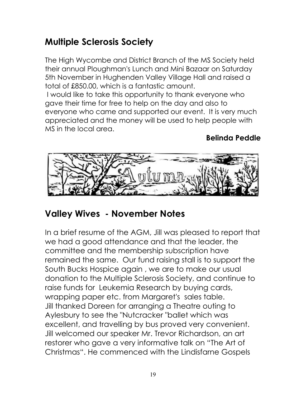# **Multiple Sclerosis Society**

The High Wycombe and District Branch of the MS Society held their annual Ploughman's Lunch and Mini Bazaar on Saturday 5th November in Hughenden Valley Village Hall and raised a total of £850.00, which is a fantastic amount.

I would like to take this opportunity to thank everyone who gave their time for free to help on the day and also to everyone who came and supported our event. It is very much appreciated and the money will be used to help people with MS in the local area.

# **Belinda Peddle**



# **Valley Wives - November Notes**

In a brief resume of the AGM, Jill was pleased to report that we had a good attendance and that the leader, the committee and the membership subscription have remained the same. Our fund raising stall is to support the South Bucks Hospice again , we are to make our usual donation to the Multiple Sclerosis Society, and continue to raise funds for Leukemia Research by buying cards, wrapping paper etc. from Margaret's sales table. Jill thanked Doreen for arranging a Theatre outing to Aylesbury to see the "Nutcracker "ballet which was excellent, and travelling by bus proved very convenient. Jill welcomed our speaker Mr. Trevor Richardson, an art restorer who gave a very informative talk on "The Art of Christmas". He commenced with the Lindisfarne Gospels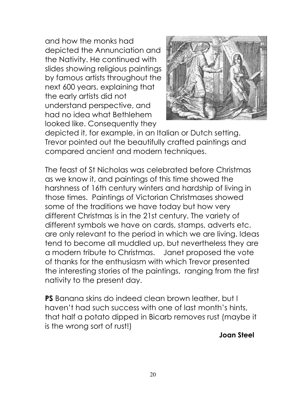and how the monks had depicted the Annunciation and the Nativity. He continued with slides showing religious paintings by famous artists throughout the next 600 years, explaining that the early artists did not understand perspective, and had no idea what Bethlehem looked like. Consequently they



depicted it, for example, in an Italian or Dutch setting. Trevor pointed out the beautifully crafted paintings and compared ancient and modern techniques.

The feast of St Nicholas was celebrated before Christmas as we know it, and paintings of this time showed the harshness of 16th century winters and hardship of living in those times. Paintings of Victorian Christmases showed some of the traditions we have today but how very different Christmas is in the 21st century. The variety of different symbols we have on cards, stamps, adverts etc. are only relevant to the period in which we are living. Ideas tend to become all muddled up, but nevertheless they are a modern tribute to Christmas. Janet proposed the vote of thanks for the enthusiasm with which Trevor presented the interesting stories of the paintings, ranging from the first nativity to the present day.

**PS** Banana skins do indeed clean brown leather, but I haven"t had such success with one of last month"s hints, that half a potato dipped in Bicarb removes rust (maybe it is the wrong sort of rust!)

**Joan Steel**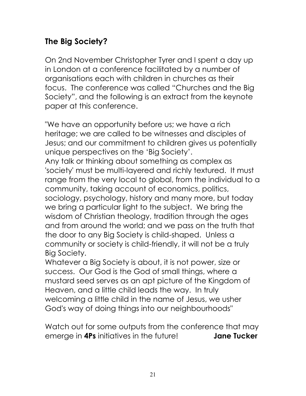# **The Big Society?**

On 2nd November Christopher Tyrer and I spent a day up in London at a conference facilitated by a number of organisations each with children in churches as their focus. The conference was called "Churches and the Big Society", and the following is an extract from the keynote paper at this conference.

"We have an opportunity before us; we have a rich heritage; we are called to be witnesses and disciples of Jesus; and our commitment to children gives us potentially unique perspectives on the "Big Society".

Any talk or thinking about something as complex as 'society' must be multi-layered and richly textured. It must range from the very local to global, from the individual to a community, taking account of economics, politics, sociology, psychology, history and many more, but today we bring a particular light to the subject. We bring the wisdom of Christian theology, tradition through the ages and from around the world; and we pass on the truth that the door to any Big Society is child-shaped. Unless a community or society is child-friendly, it will not be a truly Big Society.

Whatever a Big Society is about, it is not power, size or success. Our God is the God of small things, where a mustard seed serves as an apt picture of the Kingdom of Heaven, and a little child leads the way. In truly welcoming a little child in the name of Jesus, we usher God's way of doing things into our neighbourhoods"

Watch out for some outputs from the conference that may emerge in **4Ps** initiatives in the future! **Jane Tucker**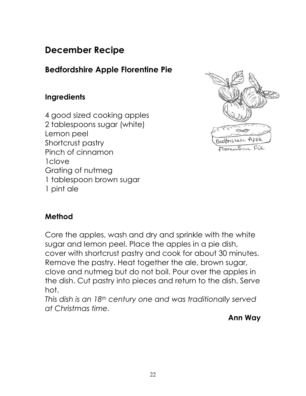# **December Recipe**

# **Bedfordshire Apple Florentine Pie**

### **Ingredients**

4 good sized cooking apples 2 tablespoons sugar (white) Lemon peel Shortcrust pastry Pinch of cinnamon 1clove Grating of nutmeg 1 tablespoon brown sugar 1 pint ale



### **Method**

Core the apples, wash and dry and sprinkle with the white sugar and lemon peel. Place the apples in a pie dish, cover with shortcrust pastry and cook for about 30 minutes. Remove the pastry. Heat together the ale, brown sugar, clove and nutmeg but do not boil. Pour over the apples in the dish. Cut pastry into pieces and return to the dish. Serve hot.

*This dish is an 18th century one and was traditionally served at Christmas time.* 

**Ann Way**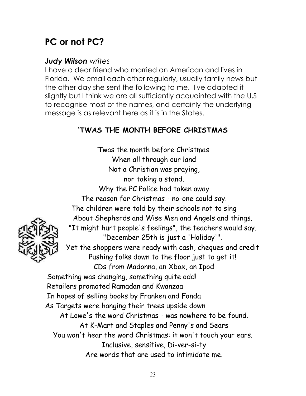# **PC or not PC?**

### *Judy Wilson writes*

I have a dear friend who married an American and lives in Florida. We email each other regularly, usually family news but the other day she sent the following to me. I've adapted it slightly but I think we are all sufficiently acquainted with the U.S to recognise most of the names, and certainly the underlying message is as relevant here as it is in the States.

# **'TWAS THE MONTH BEFORE CHRISTMAS**

'Twas the month before Christmas When all through our land Not a Christian was praying, nor taking a stand. Why the PC Police had taken away The reason for Christmas - no-one could say. The children were told by their schools not to sing About Shepherds and Wise Men and Angels and things. "It might hurt people's feelings", the teachers would say. "December 25th is just a 'Holiday'". Yet the shoppers were ready with cash, cheques and credit Pushing folks down to the floor just to get it! CDs from Madonna, an Xbox, an Ipod Something was changing, something quite odd! Retailers promoted Ramadan and Kwanzaa In hopes of selling books by Franken and Fonda As Targets were hanging their trees upside down At Lowe's the word Christmas - was nowhere to be found. At K-Mart and Staples and Penny's and Sears You won't hear the word Christmas: it won't touch your ears. Inclusive, sensitive, Di-ver-si-ty Are words that are used to intimidate me.

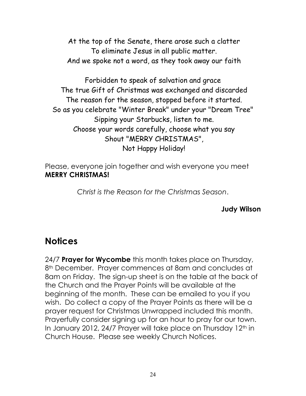At the top of the Senate, there arose such a clatter To eliminate Jesus in all public matter. And we spoke not a word, as they took away our faith

Forbidden to speak of salvation and grace The true Gift of Christmas was exchanged and discarded The reason for the season, stopped before it started. So as you celebrate "Winter Break" under your "Dream Tree" Sipping your Starbucks, listen to me. Choose your words carefully, choose what you say Shout "MERRY CHRISTMAS", Not Happy Holiday!

Please, everyone join together and wish everyone you meet **MERRY CHRISTMAS!**

*Christ is the Reason for the Christmas Season*.

**Judy Wilson**

# **Notices**

24/7 **Prayer for Wycombe** this month takes place on Thursday, 8<sup>th</sup> December. Prayer commences at 8am and concludes at 8am on Friday. The sign-up sheet is on the table at the back of the Church and the Prayer Points will be available at the beginning of the month. These can be emailed to you if you wish. Do collect a copy of the Prayer Points as there will be a prayer request for Christmas Unwrapped included this month. Prayerfully consider signing up for an hour to pray for our town. In January 2012, 24/7 Prayer will take place on Thursday 12<sup>th</sup> in Church House. Please see weekly Church Notices.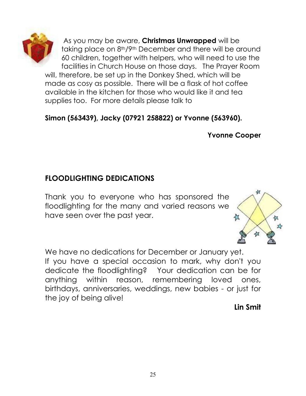

As you may be aware, **Christmas Unwrapped** will be taking place on 8th/9th December and there will be around 60 children, together with helpers, who will need to use the facilities in Church House on those days. The Prayer Room

will, therefore, be set up in the Donkey Shed, which will be made as cosy as possible. There will be a flask of hot coffee available in the kitchen for those who would like it and tea supplies too. For more details please talk to

## **Simon (563439), Jacky (07921 258822) or Yvonne (563960).**

**Yvonne Cooper**

# **FLOODLIGHTING DEDICATIONS**

Thank you to everyone who has sponsored the floodlighting for the many and varied reasons we have seen over the past year.



We have no dedications for December or January yet. If you have a special occasion to mark, why don't you dedicate the floodlighting? Your dedication can be for anything within reason, remembering loved ones, birthdays, anniversaries, weddings, new babies - or just for the joy of being alive!

**Lin Smit**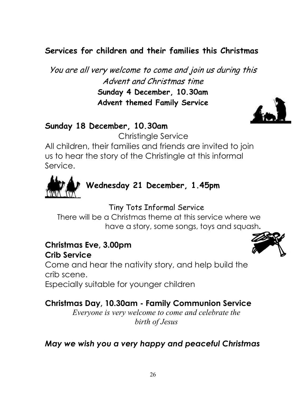# **Services for children and their families this Christmas**

You are all very welcome to come and join us during this Advent and Christmas time **Sunday 4 December, 10.30am Advent themed Family Service**

### **Sunday 18 December, 10.30am**

Christingle Service

All children, their families and friends are invited to join us to hear the story of the Christingle at this informal Service.



```
Wednesday 21 December, 1.45pm
```
Tiny Tots Informal Service

There will be a Christmas theme at this service where we have a story, some songs, toys and squash**.**

### **Christmas Eve, 3.00pm Crib Service**

Come and hear the nativity story, and help build the crib scene.

Especially suitable for younger children

## **Christmas Day, 10.30am - Family Communion Service**

*Everyone is very welcome to come and celebrate the birth of Jesus*

## *May we wish you a very happy and peaceful Christmas*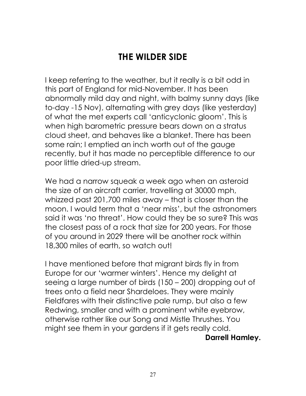# **THE WILDER SIDE**

I keep referring to the weather, but it really is a bit odd in this part of England for mid-November. It has been abnormally mild day and night, with balmy sunny days (like to-day -15 Nov), alternating with grey days (like yesterday) of what the met experts call "anticyclonic gloom". This is when high barometric pressure bears down on a stratus cloud sheet, and behaves like a blanket. There has been some rain; I emptied an inch worth out of the gauge recently, but it has made no perceptible difference to our poor little dried-up stream.

We had a narrow squeak a week ago when an asteroid the size of an aircraft carrier, travelling at 30000 mph, whizzed past 201,700 miles away – that is closer than the moon. I would term that a "near miss", but the astronomers said it was "no threat". How could they be so sure? This was the closest pass of a rock that size for 200 years. For those of you around in 2029 there will be another rock within 18,300 miles of earth, so watch out!

I have mentioned before that migrant birds fly in from Europe for our "warmer winters". Hence my delight at seeing a large number of birds (150 – 200) dropping out of trees onto a field near Shardeloes. They were mainly Fieldfares with their distinctive pale rump, but also a few Redwing, smaller and with a prominent white eyebrow, otherwise rather like our Song and Mistle Thrushes. You might see them in your gardens if it gets really cold. **Darrell Hamley.**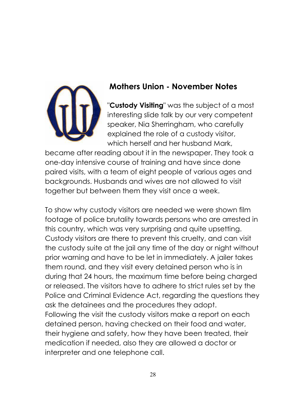

## **Mothers Union - November Notes**

"**Custody Visiting**" was the subject of a most interesting slide talk by our very competent speaker, Nia Sherringham, who carefully explained the role of a custody visitor, which herself and her husband Mark,

became after reading about it in the newspaper. They took a one-day intensive course of training and have since done paired visits, with a team of eight people of various ages and backgrounds. Husbands and wives are not allowed to visit together but between them they visit once a week.

To show why custody visitors are needed we were shown film footage of police brutality towards persons who are arrested in this country, which was very surprising and quite upsetting. Custody visitors are there to prevent this cruelty, and can visit the custody suite at the jail any time of the day or night without prior warning and have to be let in immediately. A jailer takes them round, and they visit every detained person who is in during that 24 hours, the maximum time before being charged or released. The visitors have to adhere to strict rules set by the Police and Criminal Evidence Act, regarding the questions they ask the detainees and the procedures they adopt. Following the visit the custody visitors make a report on each detained person, having checked on their food and water, their hygiene and safety, how they have been treated, their medication if needed, also they are allowed a doctor or interpreter and one telephone call.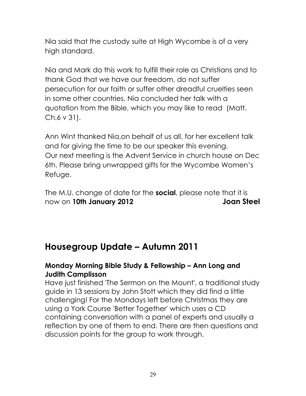Nia said that the custody suite at High Wycombe is of a very high standard.

Nia and Mark do this work to fulfill their role as Christians and to thank God that we have our freedom, do not suffer persecution for our faith or suffer other dreadful cruelties seen in some other countries. Nia concluded her talk with a quotation from the Bible, which you may like to read (Matt. Ch.6 v 31).

Ann Wint thanked Nia,on behalf of us all, for her excellent talk and for giving the time to be our speaker this evening. Our next meeting is the Advent Service in church house on Dec 6th. Please bring unwrapped gifts for the Wycombe Women"s Refuge.

The M.U. change of date for the **social**, please note that it is now on **10th January 2012 Joan Steel**

# **Housegroup Update – Autumn 2011**

#### **Monday Morning Bible Study & Fellowship – Ann Long and Judith Camplisson**

Have just finished 'The Sermon on the Mount', a traditional study guide in 13 sessions by John Stott which they did find a little challenging! For the Mondays left before Christmas they are using a York Course 'Better Together' which uses a CD containing conversation with a panel of experts and usually a reflection by one of them to end. There are then questions and discussion points for the group to work through.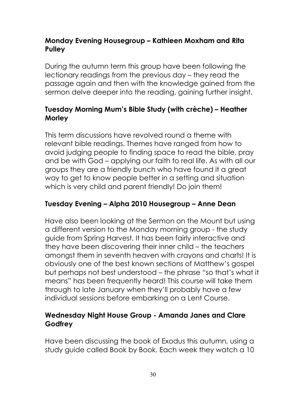#### **Monday Evening Housegroup – Kathleen Moxham and Rita Pulley**

During the autumn term this group have been following the lectionary readings from the previous day – they read the passage again and then with the knowledge gained from the sermon delve deeper into the reading, gaining further insight.

### **Tuesday Morning Mum's Bible Study (with crèche) – Heather Morley**

This term discussions have revolved round a theme with relevant bible readings. Themes have ranged from how to avoid judging people to finding space to read the bible, pray and be with God – applying our faith to real life. As with all our groups they are a friendly bunch who have found it a great way to get to know people better in a setting and situation which is very child and parent friendly! Do join them!

### **Tuesday Evening – Alpha 2010 Housegroup – Anne Dean**

Have also been looking at the Sermon on the Mount but using a different version to the Monday morning group - the study guide from Spring Harvest. It has been fairly interactive and they have been discovering their inner child – the teachers amongst them in seventh heaven with crayons and charts! It is obviously one of the best known sections of Matthew"s gospel but perhaps not best understood – the phrase "so that"s what it means" has been frequently heard! This course will take them through to late January when they"ll probably have a few individual sessions before embarking on a Lent Course.

### **Wednesday Night House Group - Amanda Janes and Clare Godfrey**

Have been discussing the book of Exodus this autumn, using a study guide called Book by Book. Each week they watch a 10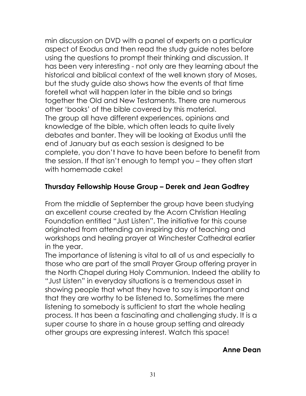min discussion on DVD with a panel of experts on a particular aspect of Exodus and then read the study guide notes before using the questions to prompt their thinking and discussion. It has been very interesting - not only are they learning about the historical and biblical context of the well known story of Moses, but the study guide also shows how the events of that time foretell what will happen later in the bible and so brings together the Old and New Testaments. There are numerous other "books" of the bible covered by this material. The group all have different experiences, opinions and knowledge of the bible, which often leads to quite lively debates and banter. They will be looking at Exodus until the end of January but as each session is designed to be complete, you don"t have to have been before to benefit from the session. If that isn"t enough to tempt you – they often start with homemade cake!

#### **Thursday Fellowship House Group – Derek and Jean Godfrey**

From the middle of September the group have been studying an excellent course created by the Acorn Christian Healing Foundation entitled "Just Listen". The initiative for this course originated from attending an inspiring day of teaching and workshops and healing prayer at Winchester Cathedral earlier in the year.

The importance of listening is vital to all of us and especially to those who are part of the small Prayer Group offering prayer in the North Chapel during Holy Communion. Indeed the ability to "Just Listen" in everyday situations is a tremendous asset in showing people that what they have to say is important and that they are worthy to be listened to. Sometimes the mere listening to somebody is sufficient to start the whole healing process. It has been a fascinating and challenging study. It is a super course to share in a house group setting and already other groups are expressing interest. Watch this space!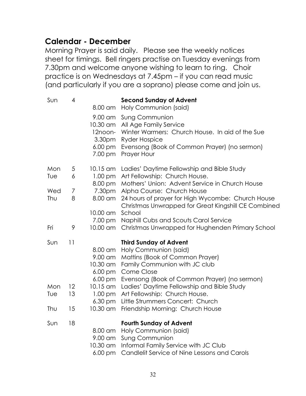# **Calendar - December**

Morning Prayer is said daily. Please see the weekly notices sheet for timings. Bell ringers practise on Tuesday evenings from 7.30pm and welcome anyone wishing to learn to ring. Choir practice is on Wednesdays at 7.45pm – if you can read music (and particularly if you are a soprano) please come and join us.

| Sun | 4  | 8.00 am                                               | <b>Second Sunday of Advent</b><br>Holy Communion (said)                                                                                                                    |
|-----|----|-------------------------------------------------------|----------------------------------------------------------------------------------------------------------------------------------------------------------------------------|
|     |    | 9.00 am<br>10.30 am<br>12noon-<br>3.30pm<br>$6.00$ pm | <b>Sung Communion</b><br>All Age Family Service<br>Winter Warmers: Church House. In aid of the Sue<br><b>Ryder Hospice</b><br>Evensong (Book of Common Prayer) (no sermon) |
|     |    | 7.00 pm                                               | Prayer Hour                                                                                                                                                                |
| Mon | 5  | 10.15 am                                              | Ladies' Daytime Fellowship and Bible Study                                                                                                                                 |
| Tue | 6  | $1.00$ pm<br>8.00 pm                                  | Art Fellowship: Church House.<br>Mothers' Union: Advent Service in Church House                                                                                            |
| Wed | 7  | 7.30pm                                                | Alpha Course: Church House                                                                                                                                                 |
| Thu | 8  | 8.00 am                                               | 24 hours of prayer for High Wycombe: Church House<br>Christmas Unwrapped for Great Kingshill CE Combined                                                                   |
|     |    | 10.00 am                                              | School                                                                                                                                                                     |
|     |    | 7.00 pm                                               | Naphill Cubs and Scouts Carol Service                                                                                                                                      |
| Fri | 9  | 10.00 am                                              | Christmas Unwrapped for Hughenden Primary School                                                                                                                           |
| Sun | 11 |                                                       | <b>Third Sunday of Advent</b>                                                                                                                                              |
|     |    | 8.00 am                                               | Holy Communion (said)                                                                                                                                                      |
|     |    | 9.00 am                                               | Mattins (Book of Common Prayer)                                                                                                                                            |
|     |    | 10.30 am                                              | Family Communion with JC club                                                                                                                                              |
|     |    | 6.00 pm                                               | Come Close                                                                                                                                                                 |
| Mon | 12 | $6.00$ pm<br>10.15 am                                 | Evensong (Book of Common Prayer) (no sermon)<br>Ladies' Daytime Fellowship and Bible Study                                                                                 |
| Tue | 13 | $1.00$ pm                                             | Art Fellowship: Church House.                                                                                                                                              |
|     |    | $6.30 \text{ pm}$                                     | Little Strummers Concert: Church                                                                                                                                           |
| Thu | 15 | 10.30 am                                              | Friendship Morning: Church House                                                                                                                                           |
| Sun | 18 |                                                       | <b>Fourth Sunday of Advent</b>                                                                                                                                             |
|     |    | 8.00 am                                               | Holy Communion (said)                                                                                                                                                      |
|     |    | 9.00 am                                               | <b>Sung Communion</b>                                                                                                                                                      |
|     |    | 10.30 am                                              | Informal Family Service with JC Club                                                                                                                                       |
|     |    | $6.00 \text{ pm}$                                     | Candlelit Service of Nine Lessons and Carols                                                                                                                               |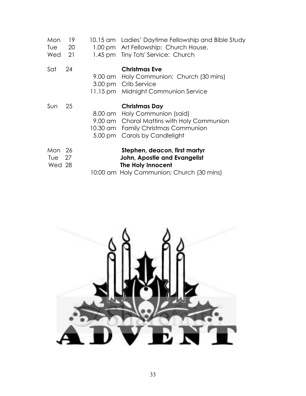| Mon<br>Tue<br>Wed 21         | 19<br>20 | 10.15 am Ladies' Daytime Fellowship and Bible Study<br>1.00 pm Art Fellowship: Church House.<br>1.45 pm Tiny Tots' Service: Church                                   |
|------------------------------|----------|----------------------------------------------------------------------------------------------------------------------------------------------------------------------|
| Sat                          | 24       | <b>Christmas Eve</b><br>9.00 am Holy Communion: Church (30 mins)<br>3.00 pm Crib Service<br>11.15 pm Midnight Communion Service                                      |
| Sun                          | 25       | Christmas Day<br>8.00 am Holy Communion (said)<br>9.00 am Choral Mattins with Holy Communion<br>10.30 am Family Christmas Communion<br>5.00 pm Carols by Candlelight |
| Mon 26<br>Tue $27$<br>Wed 28 |          | Stephen, deacon, first martyr<br>John, Apostle and Evangelist<br><b>The Holy Innocent</b><br>10:00 am Holy Communion; Church (30 mins)                               |